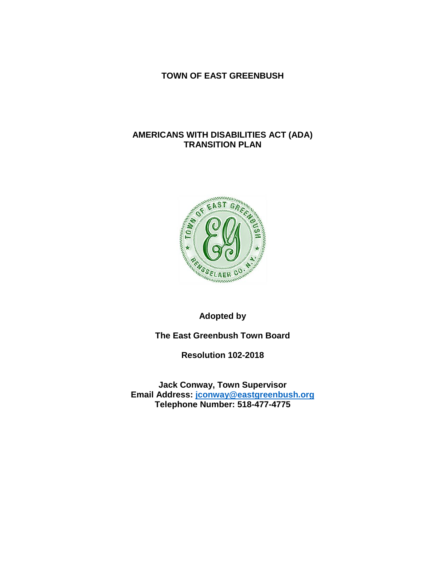### **TOWN OF EAST GREENBUSH**

### **AMERICANS WITH DISABILITIES ACT (ADA) TRANSITION PLAN**



## **Adopted by**

**The East Greenbush Town Board**

**Resolution 102-2018**

**Jack Conway, Town Supervisor Email Address: [jconway@eastgreenbush.org](mailto:jconway@eastgreenbush.org) Telephone Number: 518-477-4775**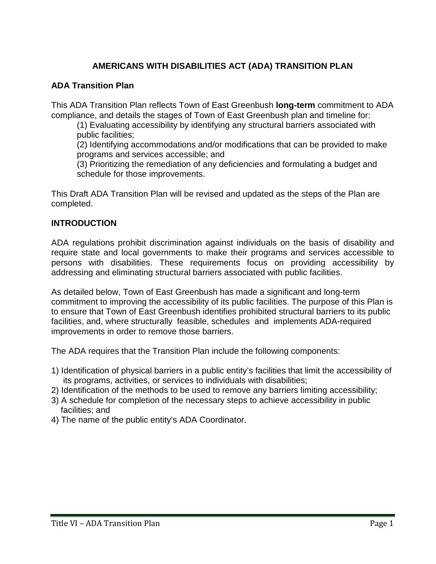# **AMERICANS WITH DISABILITIES ACT (ADA) TRANSITION PLAN**

### **ADA Transition Plan**

This ADA Transition Plan reflects Town of East Greenbush **long-term** commitment to ADA compliance, and details the stages of Town of East Greenbush plan and timeline for:

(1) Evaluating accessibility by identifying any structural barriers associated with public facilities;

(2) Identifying accommodations and/or modifications that can be provided to make programs and services accessible; and

(3) Prioritizing the remediation of any deficiencies and formulating a budget and schedule for those improvements.

This Draft ADA Transition Plan will be revised and updated as the steps of the Plan are completed.

### **INTRODUCTION**

ADA regulations prohibit discrimination against individuals on the basis of disability and require state and local governments to make their programs and services accessible to persons with disabilities. These requirements focus on providing accessibility by addressing and eliminating structural barriers associated with public facilities.

As detailed below, Town of East Greenbush has made a significant and long-term commitment to improving the accessibility of its public facilities. The purpose of this Plan is to ensure that Town of East Greenbush identifies prohibited structural barriers to its public facilities, and, where structurally feasible, schedules and implements ADA-required improvements in order to remove those barriers.

The ADA requires that the Transition Plan include the following components:

- 1) Identification of physical barriers in a public entity's facilities that limit the accessibility of its programs, activities, or services to individuals with disabilities;
- 2) Identification of the methods to be used to remove any barriers limiting accessibility;
- 3) A schedule for completion of the necessary steps to achieve accessibility in public facilities; and
- 4) The name of the public entity's ADA Coordinator.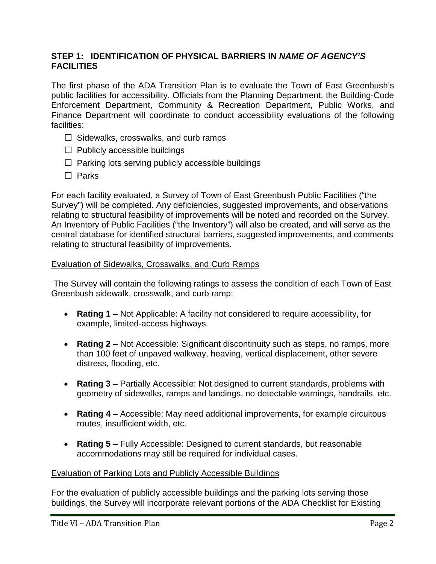## **STEP 1: IDENTIFICATION OF PHYSICAL BARRIERS IN** *NAME OF AGENCY'S* **FACILITIES**

The first phase of the ADA Transition Plan is to evaluate the Town of East Greenbush's public facilities for accessibility. Officials from the Planning Department, the Building-Code Enforcement Department, Community & Recreation Department, Public Works, and Finance Department will coordinate to conduct accessibility evaluations of the following facilities:

- $\Box$  Sidewalks, crosswalks, and curb ramps
- $\Box$  Publicly accessible buildings
- $\Box$  Parking lots serving publicly accessible buildings
- $\Box$  Parks

For each facility evaluated, a Survey of Town of East Greenbush Public Facilities ("the Survey") will be completed. Any deficiencies, suggested improvements, and observations relating to structural feasibility of improvements will be noted and recorded on the Survey. An Inventory of Public Facilities ("the Inventory") will also be created, and will serve as the central database for identified structural barriers, suggested improvements, and comments relating to structural feasibility of improvements.

### Evaluation of Sidewalks, Crosswalks, and Curb Ramps

The Survey will contain the following ratings to assess the condition of each Town of East Greenbush sidewalk, crosswalk, and curb ramp:

- **Rating 1**  Not Applicable: A facility not considered to require accessibility, for example, limited-access highways.
- **Rating 2**  Not Accessible: Significant discontinuity such as steps, no ramps, more than 100 feet of unpaved walkway, heaving, vertical displacement, other severe distress, flooding, etc.
- **Rating 3**  Partially Accessible: Not designed to current standards, problems with geometry of sidewalks, ramps and landings, no detectable warnings, handrails, etc.
- **Rating 4**  Accessible: May need additional improvements, for example circuitous routes, insufficient width, etc.
- **Rating 5**  Fully Accessible: Designed to current standards, but reasonable accommodations may still be required for individual cases.

### Evaluation of Parking Lots and Publicly Accessible Buildings

For the evaluation of publicly accessible buildings and the parking lots serving those buildings, the Survey will incorporate relevant portions of the ADA Checklist for Existing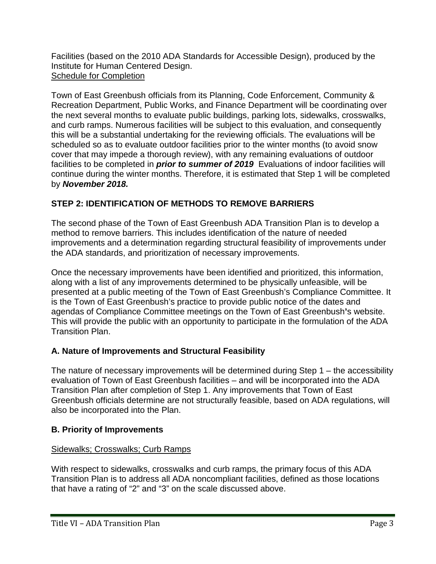Facilities (based on the 2010 ADA Standards for Accessible Design), produced by the Institute for Human Centered Design. Schedule for Completion

Town of East Greenbush officials from its Planning, Code Enforcement, Community & Recreation Department, Public Works, and Finance Department will be coordinating over the next several months to evaluate public buildings, parking lots, sidewalks, crosswalks, and curb ramps. Numerous facilities will be subject to this evaluation, and consequently this will be a substantial undertaking for the reviewing officials. The evaluations will be scheduled so as to evaluate outdoor facilities prior to the winter months (to avoid snow cover that may impede a thorough review), with any remaining evaluations of outdoor facilities to be completed in *prior to summer of 2019* Evaluations of indoor facilities will continue during the winter months. Therefore, it is estimated that Step 1 will be completed by *November 2018.*

# **STEP 2: IDENTIFICATION OF METHODS TO REMOVE BARRIERS**

The second phase of the Town of East Greenbush ADA Transition Plan is to develop a method to remove barriers. This includes identification of the nature of needed improvements and a determination regarding structural feasibility of improvements under the ADA standards, and prioritization of necessary improvements.

Once the necessary improvements have been identified and prioritized, this information, along with a list of any improvements determined to be physically unfeasible, will be presented at a public meeting of the Town of East Greenbush's Compliance Committee. It is the Town of East Greenbush's practice to provide public notice of the dates and agendas of Compliance Committee meetings on the Town of East Greenbush**'**s website. This will provide the public with an opportunity to participate in the formulation of the ADA Transition Plan.

# **A. Nature of Improvements and Structural Feasibility**

The nature of necessary improvements will be determined during Step 1 – the accessibility evaluation of Town of East Greenbush facilities – and will be incorporated into the ADA Transition Plan after completion of Step 1. Any improvements that Town of East Greenbush officials determine are not structurally feasible, based on ADA regulations, will also be incorporated into the Plan.

## **B. Priority of Improvements**

## Sidewalks; Crosswalks; Curb Ramps

With respect to sidewalks, crosswalks and curb ramps, the primary focus of this ADA Transition Plan is to address all ADA noncompliant facilities, defined as those locations that have a rating of "2" and "3" on the scale discussed above.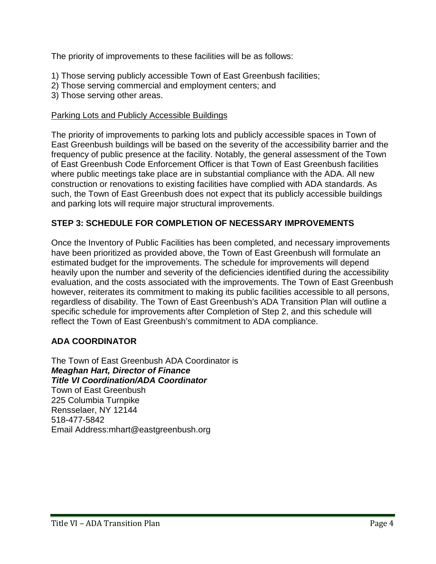The priority of improvements to these facilities will be as follows:

- 1) Those serving publicly accessible Town of East Greenbush facilities;
- 2) Those serving commercial and employment centers; and
- 3) Those serving other areas.

### Parking Lots and Publicly Accessible Buildings

The priority of improvements to parking lots and publicly accessible spaces in Town of East Greenbush buildings will be based on the severity of the accessibility barrier and the frequency of public presence at the facility. Notably, the general assessment of the Town of East Greenbush Code Enforcement Officer is that Town of East Greenbush facilities where public meetings take place are in substantial compliance with the ADA. All new construction or renovations to existing facilities have complied with ADA standards. As such, the Town of East Greenbush does not expect that its publicly accessible buildings and parking lots will require major structural improvements.

## **STEP 3: SCHEDULE FOR COMPLETION OF NECESSARY IMPROVEMENTS**

Once the Inventory of Public Facilities has been completed, and necessary improvements have been prioritized as provided above, the Town of East Greenbush will formulate an estimated budget for the improvements. The schedule for improvements will depend heavily upon the number and severity of the deficiencies identified during the accessibility evaluation, and the costs associated with the improvements. The Town of East Greenbush however, reiterates its commitment to making its public facilities accessible to all persons, regardless of disability. The Town of East Greenbush's ADA Transition Plan will outline a specific schedule for improvements after Completion of Step 2, and this schedule will reflect the Town of East Greenbush's commitment to ADA compliance.

## **ADA COORDINATOR**

The Town of East Greenbush ADA Coordinator is *Meaghan Hart, Director of Finance Title VI Coordination/ADA Coordinator* Town of East Greenbush 225 Columbia Turnpike Rensselaer, NY 12144 518-477-5842 Email Address:mhart@eastgreenbush.org